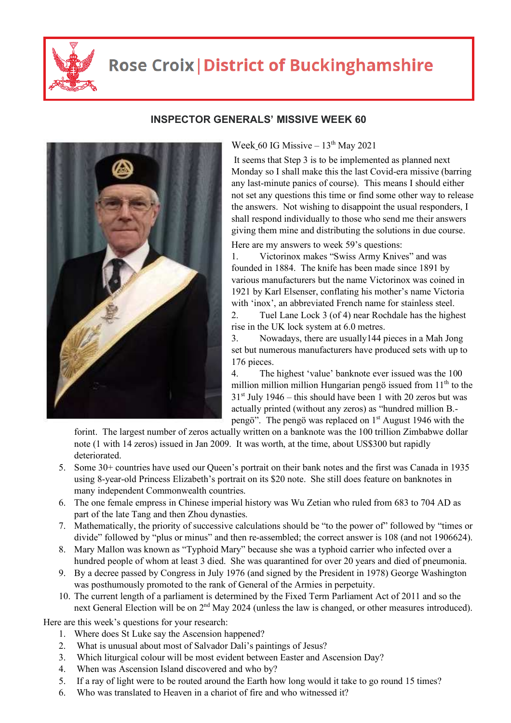

## **Rose Croix | District of Buckinghamshire**



## **INSPECTOR GENERALS' MISSIVE WEEK 60**

Week 60 IG Missive  $-13^{th}$  May 2021

 It seems that Step 3 is to be implemented as planned next Monday so I shall make this the last Covid-era missive (barring any last-minute panics of course). This means I should either not set any questions this time or find some other way to release the answers. Not wishing to disappoint the usual responders, I shall respond individually to those who send me their answers giving them mine and distributing the solutions in due course.

Here are my answers to week 59's questions:

1. Victorinox makes "Swiss Army Knives" and was founded in 1884. The knife has been made since 1891 by various manufacturers but the name Victorinox was coined in 1921 by Karl Elsenser, conflating his mother's name Victoria with 'inox', an abbreviated French name for stainless steel.

2. Tuel Lane Lock 3 (of 4) near Rochdale has the highest rise in the UK lock system at 6.0 metres.

3. Nowadays, there are usually144 pieces in a Mah Jong set but numerous manufacturers have produced sets with up to 176 pieces.

4. The highest 'value' banknote ever issued was the 100 million million million Hungarian pengö issued from  $11<sup>th</sup>$  to the  $31<sup>st</sup>$  July 1946 – this should have been 1 with 20 zeros but was actually printed (without any zeros) as "hundred million B. pengö". The pengö was replaced on  $1<sup>st</sup>$  August 1946 with the

forint. The largest number of zeros actually written on a banknote was the 100 trillion Zimbabwe dollar note (1 with 14 zeros) issued in Jan 2009. It was worth, at the time, about US\$300 but rapidly deteriorated.

- 5. Some 30+ countries have used our Queen's portrait on their bank notes and the first was Canada in 1935 using 8-year-old Princess Elizabeth's portrait on its \$20 note. She still does feature on banknotes in many independent Commonwealth countries.
- 6. The one female empress in Chinese imperial history was Wu Zetian who ruled from 683 to 704 AD as part of the late Tang and then Zhou dynasties.
- 7. Mathematically, the priority of successive calculations should be "to the power of" followed by "times or divide" followed by "plus or minus" and then re-assembled; the correct answer is 108 (and not 1906624).
- 8. Mary Mallon was known as "Typhoid Mary" because she was a typhoid carrier who infected over a hundred people of whom at least 3 died. She was quarantined for over 20 years and died of pneumonia.
- 9. By a decree passed by Congress in July 1976 (and signed by the President in 1978) George Washington was posthumously promoted to the rank of General of the Armies in perpetuity.
- 10. The current length of a parliament is determined by the Fixed Term Parliament Act of 2011 and so the next General Election will be on 2<sup>nd</sup> May 2024 (unless the law is changed, or other measures introduced).

Here are this week's questions for your research:

- 1. Where does St Luke say the Ascension happened?
- 2. What is unusual about most of Salvador Dali's paintings of Jesus?
- 3. Which liturgical colour will be most evident between Easter and Ascension Day?
- 4. When was Ascension Island discovered and who by?
- 5. If a ray of light were to be routed around the Earth how long would it take to go round 15 times?
- 6. Who was translated to Heaven in a chariot of fire and who witnessed it?